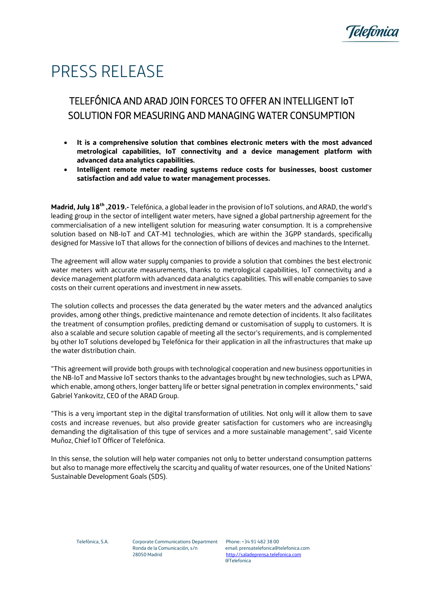

## PRESS RELEASE

## TELEFÓNICA AND ARAD JOIN FORCES TO OFFER AN INTELLIGENT IoT SOLUTION FOR MEASURING AND MANAGING WATER CONSUMPTION

- **It is a comprehensive solution that combines electronic meters with the most advanced metrological capabilities, IoT connectivity and a device management platform with advanced data analytics capabilities.**
- **Intelligent remote meter reading systems reduce costs for businesses, boost customer satisfaction and add value to water management processes.**

**Madrid, July 18th ,2019.-** Telefónica, a global leader in the provision of IoT solutions, and ARAD, the world's leading group in the sector of intelligent water meters, have signed a global partnership agreement for the commercialisation of a new intelligent solution for measuring water consumption. It is a comprehensive solution based on NB-IoT and CAT-M1 technologies, which are within the 3GPP standards, specifically designed for Massive IoT that allows for the connection of billions of devices and machines to the Internet.

The agreement will allow water supply companies to provide a solution that combines the best electronic water meters with accurate measurements, thanks to metrological capabilities, IoT connectivity and a device management platform with advanced data analytics capabilities. This will enable companies to save costs on their current operations and investment in new assets.

The solution collects and processes the data generated by the water meters and the advanced analytics provides, among other things, predictive maintenance and remote detection of incidents. It also facilitates the treatment of consumption profiles, predicting demand or customisation of supply to customers. It is also a scalable and secure solution capable of meeting all the sector's requirements, and is complemented by other IoT solutions developed by Telefónica for their application in all the infrastructures that make up the water distribution chain.

"This agreement will provide both groups with technological cooperation and new business opportunities in the NB-IoT and Massive IoT sectors thanks to the advantages brought by new technologies, such as LPWA, which enable, among others, longer battery life or better signal penetration in complex environments," said Gabriel Yankovitz, CEO of the ARAD Group.

"This is a very important step in the digital transformation of utilities. Not only will it allow them to save costs and increase revenues, but also provide greater satisfaction for customers who are increasingly demanding the digitalisation of this type of services and a more sustainable management", said Vicente Muñoz, Chief IoT Officer of Telefónica.

In this sense, the solution will help water companies not only to better understand consumption patterns but also to manage more effectively the scarcity and quality of water resources, one of the United Nations' Sustainable Development Goals (SDS).

Telefónica, S.A. Corporate Communications Department Phone: +34 91 482 38 00

Ronda de la Comunicación, s/n email: prensatelefonica@telefonica.com<br>28050 Madrid email: http://saladeprensa.telefonica.com [http://saladeprensa.telefonica.com](http://saladeprensa.telefonica.com/) @Telefonica